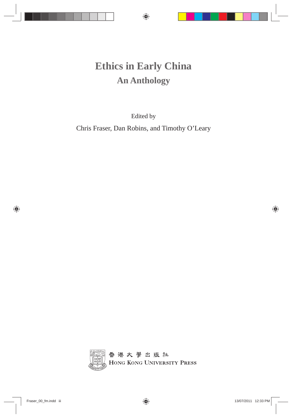# **Ethics in Early China An Anthology**

Edited by

Chris Fraser, Dan Robins, and Timothy O'Leary

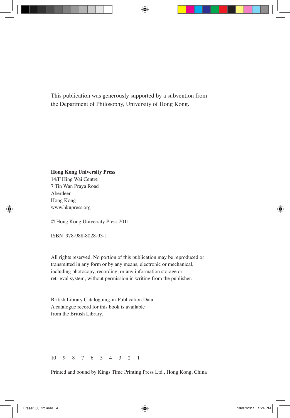This publication was generously supported by a subvention from the Department of Philosophy, University of Hong Kong.

**Hong Kong University Press**

14/F Hing Wai Centre 7 Tin Wan Praya Road Aberdeen Hong Kong www.hkupress.org

© Hong Kong University Press 2011

ISBN 978-988-8028-93-1

All rights reserved. No portion of this publication may be reproduced or transmitted in any form or by any means, electronic or mechanical, including photocopy, recording, or any information storage or retrieval system, without permission in writing from the publisher.

British Library Cataloguing-in-Publication Data A catalogue record for this book is available from the British Library.

#### 10 9 8 7 6 5 4 3 2 1

Printed and bound by Kings Time Printing Press Ltd., Hong Kong, China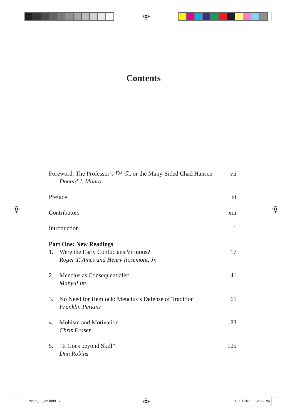## **Contents**

|             | Foreword: The Professor's <i>Dé</i> 德, or the Many-Sided Chad Hansen<br>Donald J. Munro                       | vii  |
|-------------|---------------------------------------------------------------------------------------------------------------|------|
|             | Preface                                                                                                       | xi   |
|             | Contributors                                                                                                  | xiii |
|             | Introduction                                                                                                  | 1    |
| 1.          | <b>Part One: New Readings</b><br>Were the Early Confucians Virtuous?<br>Roger T. Ames and Henry Rosemont, Jr. | 17   |
| 2.          | Mencius as Consequentialist<br>Manyul Im                                                                      | 41   |
| 3.          | No Need for Hemlock: Mencius's Defense of Tradition<br><b>Franklin Perkins</b>                                | 65   |
| $4_{\cdot}$ | Mohism and Motivation<br>Chris Fraser                                                                         | 83   |
| 5.          | "It Goes beyond Skill"<br>Dan Robins                                                                          | 105  |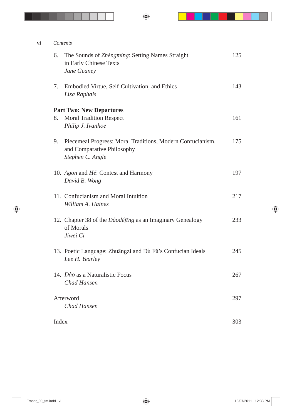| 6. | The Sounds of Zhèngmíng: Setting Names Straight<br>in Early Chinese Texts<br>Jane Geaney                     | 125 |
|----|--------------------------------------------------------------------------------------------------------------|-----|
| 7. | Embodied Virtue, Self-Cultivation, and Ethics<br>Lisa Raphals                                                | 143 |
| 8. | <b>Part Two: New Departures</b><br><b>Moral Tradition Respect</b><br>Philip J. Ivanhoe                       | 161 |
| 9. | Piecemeal Progress: Moral Traditions, Modern Confucianism,<br>and Comparative Philosophy<br>Stephen C. Angle | 175 |
|    | 10. Agon and Hé: Contest and Harmony<br>David B. Wong                                                        | 197 |
|    | 11. Confucianism and Moral Intuition<br>William A. Haines                                                    | 217 |
|    | 12. Chapter 38 of the Dàodéjīng as an Imaginary Genealogy<br>of Morals<br>Jiwei Ci                           | 233 |
|    | 13. Poetic Language: Zhuāngzǐ and Dù Fǔ's Confucian Ideals<br>Lee H. Yearley                                 | 245 |
|    | 14. Dào as a Naturalistic Focus<br>Chad Hansen                                                               | 267 |
|    | Afterword<br>Chad Hansen                                                                                     | 297 |
|    | Index                                                                                                        | 303 |

**vi** *Contents*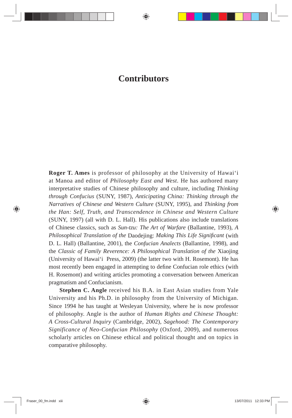### **Contributors**

**Roger T. Ames** is professor of philosophy at the University of Hawai'i at Manoa and editor of *Philosophy East and West*. He has authored many interpretative studies of Chinese philosophy and culture, including *Thinking through Confucius* (SUNY, 1987), *Anticipating China: Thinking through the Narratives of Chinese and Western Culture* (SUNY, 1995), and *Thinking from the Han: Self, Truth, and Transcendence in Chinese and Western Culture* (SUNY, 1997) (all with D. L. Hall). His publications also include translations of Chinese classics, such as *Sun-tzu: The Art of Warfare* (Ballantine, 1993), *A Philosophical Translation of the Daodejing: Making This Life Significant* (with D. L. Hall) (Ballantine, 2001), the *Confucian Analects* (Ballantine, 1998), and the *Classic of Family Reverence: A Philosophical Translation of the* Xiaojing (University of Hawai'i Press, 2009) (the latter two with H. Rosemont). He has most recently been engaged in attempting to define Confucian role ethics (with H. Rosemont) and writing articles promoting a conversation between American pragmatism and Confucianism.

**Stephen C. Angle** received his B.A. in East Asian studies from Yale University and his Ph.D. in philosophy from the University of Michigan. Since 1994 he has taught at Wesleyan University, where he is now professor of philosophy. Angle is the author of *Human Rights and Chinese Thought: A Cross-Cultural Inquiry* (Cambridge, 2002), *Sagehood: The Contemporary Significance of Neo-Confucian Philosophy* (Oxford, 2009), and numerous scholarly articles on Chinese ethical and political thought and on topics in comparative philosophy.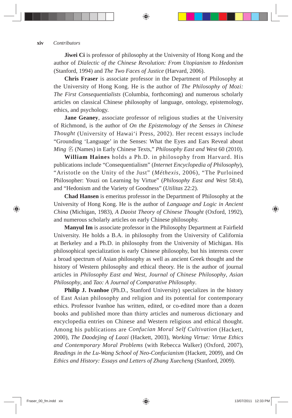**Jiwei Ci** is professor of philosophy at the University of Hong Kong and the author of *Dialectic of the Chinese Revolution: From Utopianism to Hedonism*  (Stanford, 1994) and *The Two Faces of Justice* (Harvard, 2006).

**Chris Fraser** is associate professor in the Department of Philosophy at the University of Hong Kong. He is the author of *The Philosophy of Mozi: The First Consequentialists* (Columbia, forthcoming) and numerous scholarly articles on classical Chinese philosophy of language, ontology, epistemology, ethics, and psychology.

**Jane Geaney**, associate professor of religious studies at the University of Richmond, is the author of *On the Epistemology of the Senses in Chinese Thought* (University of Hawai'i Press, 2002). Her recent essays include "Grounding 'Language' in the Senses: What the Eyes and Ears Reveal about *Ming* 名 (Names) in Early Chinese Texts," *Philosophy East and West* 60 (2010).

**William Haines** holds a Ph.D. in philosophy from Harvard. His publications include "Consequentialism" (*Internet Encyclopedia of Philosophy*), "Aristotle on the Unity of the Just" (*Méthexis*, 2006), "The Purloined Philosopher: Youzi on Learning by Virtue" (*Philosophy East and West* 58:4), and "Hedonism and the Variety of Goodness" (*Utilitas* 22:2).

**Chad Hansen** is emeritus professor in the Department of Philosophy at the University of Hong Kong. He is the author of *Language and Logic in Ancient China* (Michigan, 1983), *A Daoist Theory of Chinese Thought* (Oxford, 1992), and numerous scholarly articles on early Chinese philosophy.

**Manyul Im** is associate professor in the Philosophy Department at Fairfield University. He holds a B.A. in philosophy from the University of California at Berkeley and a Ph.D. in philosophy from the University of Michigan. His philosophical specialization is early Chinese philosophy, but his interests cover a broad spectrum of Asian philosophy as well as ancient Greek thought and the history of Western philosophy and ethical theory. He is the author of journal articles in *Philosophy East and West*, *Journal of Chinese Philosophy*, *Asian Philosophy*, and *Tao: A Journal of Comparative Philosophy*.

**Philip J. Ivanhoe** (Ph.D., Stanford University) specializes in the history of East Asian philosophy and religion and its potential for contemporary ethics. Professor Ivanhoe has written, edited, or co-edited more than a dozen books and published more than thirty articles and numerous dictionary and encyclopedia entries on Chinese and Western religious and ethical thought. Among his publications are *Confucian Moral Self Cultivation* (Hackett, 2000), *The Daodejing of Laozi* (Hackett, 2003), *Working Virtue: Virtue Ethics and Contemporary Moral Problems* (with Rebecca Walker) (Oxford, 2007), *Readings in the Lu-Wang School of Neo-Confucianism* (Hackett, 2009), and *On Ethics and History: Essays and Letters of Zhang Xuecheng* (Stanford, 2009).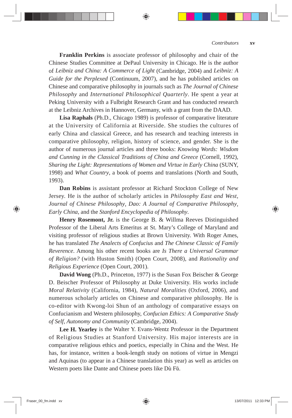**Franklin Perkins** is associate professor of philosophy and chair of the Chinese Studies Committee at DePaul University in Chicago. He is the author of *Leibniz and China: A Commerce of Light* (Cambridge, 2004) and *Leibniz: A Guide for the Perplexed* (Continuum, 2007), and he has published articles on Chinese and comparative philosophy in journals such as *The Journal of Chinese Philosophy* and *International Philosophical Quarterly*. He spent a year at Peking University with a Fulbright Research Grant and has conducted research at the Leibniz Archives in Hannover, Germany, with a grant from the DAAD.

**Lisa Raphals** (Ph.D., Chicago 1989) is professor of comparative literature at the University of California at Riverside. She studies the cultures of early China and classical Greece, and has research and teaching interests in comparative philosophy, religion, history of science, and gender. She is the author of numerous journal articles and three books: *Knowing Words: Wisdom and Cunning in the Classical Traditions of China and Greece* (Cornell, 1992), *Sharing the Light: Representations of Women and Virtue in Early China (SUNY,*  $\overline{\phantom{a}}$ *)* 1998) and *What Country*, a book of poems and translations (North and South, 1993).

**Dan Robins** is assistant professor at Richard Stockton College of New Jersey. He is the author of scholarly articles in *Philosophy East and West*, *Journal of Chinese Philosophy*, *Dao: A Journal of Comparative Philosophy*, *Early China*, and the *Stanford Encyclopedia of Philosophy*.

**Henry Rosemont, Jr.** is the George B. & Willma Reeves Distinguished Professor of the Liberal Arts Emeritus at St. Mary's College of Maryland and visiting professor of religious studies at Brown University. With Roger Ames, he has translated *The Analects of Confucius* and *The Chinese Classic of Family Reverence*. Among his other recent books are *Is There a Universal Grammar of Religion?* (with Huston Smith) (Open Court, 2008), and *Rationality and Religious Experience* (Open Court, 2001).

**David Wong** (Ph.D., Princeton, 1977) is the Susan Fox Beischer & George D. Beischer Professor of Philosophy at Duke University. His works include *Moral Relativity* (California, 1984), *Natural Moralities* (Oxford, 2006), and numerous scholarly articles on Chinese and comparative philosophy. He is co-editor with Kwong-loi Shun of an anthology of comparative essays on Confucianism and Western philosophy, *Confucian Ethics: A Comparative Study of Self, Autonomy and Community* (Cambridge, 2004).

**Lee H. Yearley** is the Walter Y. Evans-Wentz Professor in the Department of Religious Studies at Stanford University. His major interests are in comparative religious ethics and poetics, especially in China and the West. He has, for instance, written a book-length study on notions of virtue in Mengzi and Aquinas (to appear in a Chinese translation this year) as well as articles on Western poets like Dante and Chinese poets like Dù Fǔ.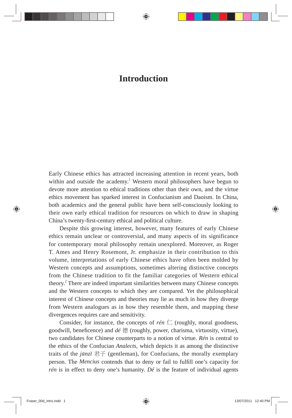### **Introduction**

Early Chinese ethics has attracted increasing attention in recent years, both within and outside the academy.<sup>1</sup> Western moral philosophers have begun to devote more attention to ethical traditions other than their own, and the virtue ethics movement has sparked interest in Confucianism and Daoism. In China, both academics and the general public have been self-consciously looking to their own early ethical tradition for resources on which to draw in shaping China's twenty-first-century ethical and political culture.

Despite this growing interest, however, many features of early Chinese ethics remain unclear or controversial, and many aspects of its significance for contemporary moral philosophy remain unexplored. Moreover, as Roger T. Ames and Henry Rosemont, Jr. emphasize in their contribution to this volume, interpretations of early Chinese ethics have often been molded by Western concepts and assumptions, sometimes altering distinctive concepts from the Chinese tradition to fit the familiar categories of Western ethical theory.<sup>2</sup> There are indeed important similarities between many Chinese concepts and the Western concepts to which they are compared. Yet the philosophical interest of Chinese concepts and theories may lie as much in how they diverge from Western analogues as in how they resemble them, and mapping these divergences requires care and sensitivity.

Consider, for instance, the concepts of  $\eta \subset \Gamma$  (roughly, moral goodness, goodwill, benefi cence) and *dé* 德 (roughly, power, charisma, virtuosity, virtue), two candidates for Chinese counterparts to a notion of virtue. *Rén* is central to the ethics of the Confucian *Analects*, which depicts it as among the distinctive traits of the *jūnzǐ* 君子 (gentleman), for Confucians, the morally exemplary person. The *Mencius* contends that to deny or fail to fulfill one's capacity for *rén* is in effect to deny one's humanity. *Dé* is the feature of individual agents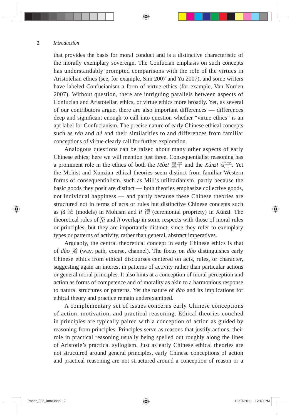that provides the basis for moral conduct and is a distinctive characteristic of the morally exemplary sovereign. The Confucian emphasis on such concepts has understandably prompted comparisons with the role of the virtues in Aristotelian ethics (see, for example, Sim 2007 and Yu 2007), and some writers have labeled Confucianism a form of virtue ethics (for example, Van Norden 2007). Without question, there are intriguing parallels between aspects of Confucian and Aristotelian ethics, or virtue ethics more broadly. Yet, as several of our contributors argue, there are also important differences — differences deep and significant enough to call into question whether "virtue ethics" is an apt label for Confucianism. The precise nature of early Chinese ethical concepts such as *rén* and *dé* and their similarities to and differences from familiar conceptions of virtue clearly call for further exploration.

Analogous questions can be raised about many other aspects of early Chinese ethics; here we will mention just three. Consequentialist reasoning has a prominent role in the ethics of both the *Mòzǐ* 墨子 and the *Xúnzǐ* 荀子. Yet the Mohist and Xunzian ethical theories seem distinct from familiar Western forms of consequentialism, such as Mill's utilitarianism, partly because the basic goods they posit are distinct — both theories emphasize collective goods, not individual happiness — and partly because these Chinese theories are structured not in terms of acts or rules but distinctive Chinese concepts such as  $f\tilde{a}$  法 (models) in Mohism and  $\tilde{a}$  禮 (ceremonial propriety) in Xúnzǐ. The theoretical roles of *fǎ* and *lǐ* overlap in some respects with those of moral rules or principles, but they are importantly distinct, since they refer to exemplary types or patterns of activity, rather than general, abstract imperatives.

Arguably, the central theoretical concept in early Chinese ethics is that of *dào* 道 (way, path, course, channel). The focus on *dào* distinguishes early Chinese ethics from ethical discourses centered on acts, rules, or character, suggesting again an interest in patterns of activity rather than particular actions or general moral principles. It also hints at a conception of moral perception and action as forms of competence and of morality as akin to a harmonious response to natural structures or patterns. Yet the nature of *dào* and its implications for ethical theory and practice remain underexamined.

A complementary set of issues concerns early Chinese conceptions of action, motivation, and practical reasoning. Ethical theories couched in principles are typically paired with a conception of action as guided by reasoning from principles. Principles serve as reasons that justify actions, their role in practical reasoning usually being spelled out roughly along the lines of Aristotle's practical syllogism. Just as early Chinese ethical theories are not structured around general principles, early Chinese conceptions of action and practical reasoning are not structured around a conception of reason or a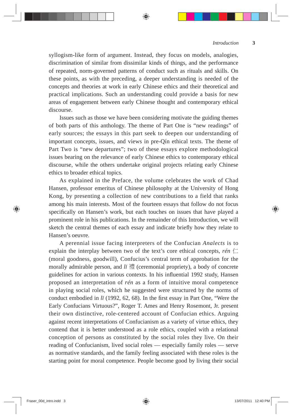syllogism-like form of argument. Instead, they focus on models, analogies, discrimination of similar from dissimilar kinds of things, and the performance of repeated, norm-governed patterns of conduct such as rituals and skills. On these points, as with the preceding, a deeper understanding is needed of the concepts and theories at work in early Chinese ethics and their theoretical and practical implications. Such an understanding could provide a basis for new areas of engagement between early Chinese thought and contemporary ethical discourse.

Issues such as those we have been considering motivate the guiding themes of both parts of this anthology. The theme of Part One is "new readings" of early sources; the essays in this part seek to deepen our understanding of important concepts, issues, and views in pre-Qín ethical texts. The theme of Part Two is "new departures"; two of these essays explore methodological issues bearing on the relevance of early Chinese ethics to contemporary ethical discourse, while the others undertake original projects relating early Chinese ethics to broader ethical topics.

As explained in the Preface, the volume celebrates the work of Chad Hansen, professor emeritus of Chinese philosophy at the University of Hong Kong, by presenting a collection of new contributions to a field that ranks among his main interests. Most of the fourteen essays that follow do not focus specifically on Hansen's work, but each touches on issues that have played a prominent role in his publications. In the remainder of this Introduction, we will sketch the central themes of each essay and indicate briefly how they relate to Hansen's oeuvre.

A perennial issue facing interpreters of the Confucian *Analects* is to explain the interplay between two of the text's core ethical concepts, *rén*  $\Box$ (moral goodness, goodwill), Confucius's central term of approbation for the morally admirable person, and *lǐ* 禮 (ceremonial propriety), a body of concrete guidelines for action in various contexts. In his influential 1992 study, Hansen proposed an interpretation of *rén* as a form of intuitive moral competence in playing social roles, which he suggested were structured by the norms of conduct embodied in  $\ell i$  (1992, 62, 68). In the first essay in Part One, "Were the Early Confucians Virtuous?", Roger T. Ames and Henry Rosemont, Jr. present their own distinctive, role-centered account of Confucian ethics. Arguing against recent interpretations of Confucianism as a variety of virtue ethics, they contend that it is better understood as a role ethics, coupled with a relational conception of persons as constituted by the social roles they live. On their reading of Confucianism, lived social roles — especially family roles — serve as normative standards, and the family feeling associated with these roles is the starting point for moral competence. People become good by living their social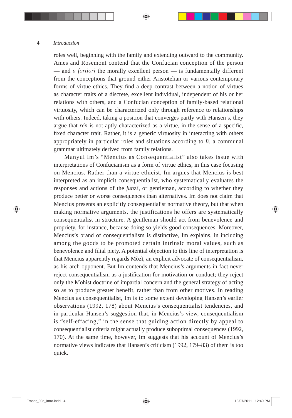roles well, beginning with the family and extending outward to the community. Ames and Rosemont contend that the Confucian conception of the person — and *a fortiori* the morally excellent person — is fundamentally different from the conceptions that ground either Aristotelian or various contemporary forms of virtue ethics. They find a deep contrast between a notion of virtues as character traits of a discrete, excellent individual, independent of his or her relations with others, and a Confucian conception of family-based relational virtuosity, which can be characterized only through reference to relationships with others. Indeed, taking a position that converges partly with Hansen's, they argue that *rén* is not aptly characterized as a virtue, in the sense of a specific, fixed character trait. Rather, it is a generic virtuosity in interacting with others appropriately in particular roles and situations according to *lǐ*, a communal grammar ultimately derived from family relations.

Manyul Im's "Mencius as Consequentialist" also takes issue with interpretations of Confucianism as a form of virtue ethics, in this case focusing on Mencius. Rather than a virtue ethicist, Im argues that Mencius is best interpreted as an implicit consequentialist, who systematically evaluates the responses and actions of the *jūnzǐ*, or gentleman, according to whether they produce better or worse consequences than alternatives. Im does not claim that Mencius presents an explicitly consequentialist normative theory, but that when making normative arguments, the justifications he offers are systematically consequentialist in structure. A gentleman should act from benevolence and propriety, for instance, because doing so yields good consequences. Moreover, Mencius's brand of consequentialism is distinctive, Im explains, in including among the goods to be promoted certain intrinsic moral values, such as benevolence and filial piety. A potential objection to this line of interpretation is that Mencius apparently regards Mòzǐ, an explicit advocate of consequentialism, as his arch-opponent. But Im contends that Mencius's arguments in fact never reject consequentialism as a justification for motivation or conduct; they reject only the Mohist doctrine of impartial concern and the general strategy of acting so as to produce greater benefit, rather than from other motives. In reading Mencius as consequentialist, Im is to some extent developing Hansen's earlier observations (1992, 178) about Mencius's consequentialist tendencies, and in particular Hansen's suggestion that, in Mencius's view, consequentialism is "self-effacing," in the sense that guiding action directly by appeal to consequentialist criteria might actually produce suboptimal consequences (1992, 170). At the same time, however, Im suggests that his account of Mencius's normative views indicates that Hansen's criticism (1992, 179–83) of them is too quick.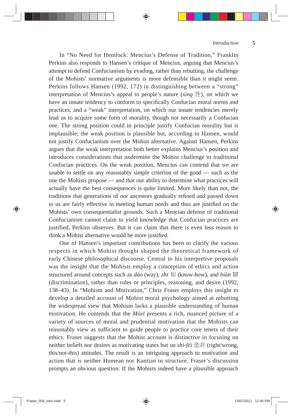In "No Need for Hemlock: Mencius's Defense of Tradition," Franklin Perkins also responds to Hansen's critique of Mencius, arguing that Mencius's attempt to defend Confucianism by evading, rather than rebutting, the challenge of the Mohists' normative arguments is more defensible than it might seem. Perkins follows Hansen (1992, 172) in distinguishing between a "strong" interpretation of Mencius's appeal to people's nature (*xìng* 性), on which we have an innate tendency to conform to specifically Confucian moral norms and practices, and a "weak" interpretation, on which our innate tendencies merely lead us to acquire some form of morality, though not necessarily a Confucian one. The strong position could in principle justify Confucian morality but is implausible; the weak position is plausible but, according to Hansen, would not justify Confucianism over the Mohist alternative. Against Hansen, Perkins argues that the weak interpretation both better explains Mencius's position and introduces considerations that undermine the Mohist challenge to traditional Confucian practices. On the weak position, Mencius can contend that we are unable to settle on any reasonably simple criterion of the good — such as the one the Mohists propose — and that our ability to determine what practices will actually have the best consequences is quite limited. More likely than not, the traditions that generations of our ancestors gradually refined and passed down to us are fairly effective in meeting human needs and thus are justified on the Mohists' own consequentialist grounds. Such a Mencian defense of traditional Confucianism cannot claim to yield knowledge that Confucian practices are justified, Perkins observes. But it can claim that there is even less reason to think a Mohist alternative would be more justified.

One of Hansen's important contributions has been to clarify the various respects in which Mohist thought shaped the theoretical framework of early Chinese philosophical discourse. Central to his interpretive proposals was the insight that the Mohists employ a conception of ethics and action structured around concepts such as *dào* (way), zhī 知 (know-how), and *biàn* 辯 (discrimination), rather than rules or principles, reasoning, and desire (1992, 138–43). In "Mohism and Motivation," Chris Fraser employs this insight to develop a detailed account of Mohist moral psychology aimed at rebutting the widespread view that Mohism lacks a plausible understanding of human motivation. He contends that the *Mòzǐ* presents a rich, nuanced picture of a variety of sources of moral and prudential motivation that the Mohists can reasonably view as sufficient to guide people to practice core tenets of their ethics. Fraser suggests that the Mohist account is distinctive in focusing on neither beliefs nor desires as motivating states but on *shì-fēi* 是非 (right/wrong, this/not-this) attitudes. The result is an intriguing approach to motivation and action that is neither Humean nor Kantian in structure. Fraser's discussion prompts an obvious question: If the Mohists indeed have a plausible approach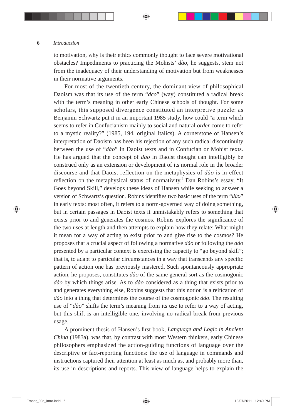to motivation, why is their ethics commonly thought to face severe motivational obstacles? Impediments to practicing the Mohists' *dào*, he suggests, stem not from the inadequacy of their understanding of motivation but from weaknesses in their normative arguments.

For most of the twentieth century, the dominant view of philosophical Daoism was that its use of the term "*dco*" (way) constituted a radical break with the term's meaning in other early Chinese schools of thought. For some scholars, this supposed divergence constituted an interpretive puzzle: as Benjamin Schwartz put it in an important 1985 study, how could "a term which seems to refer in Confucianism mainly to social and natural *order* come to refer to a mystic reality?" (1985, 194, original italics). A cornerstone of Hansen's interpretation of Daoism has been his rejection of any such radical discontinuity between the use of "*dào*" in Daoist texts and in Confucian or Mohist texts. He has argued that the concept of *dào* in Daoist thought can intelligibly be construed only as an extension or development of its normal role in the broader discourse and that Daoist reflection on the metaphysics of *dào* is in effect reflection on the metaphysical status of normativity.<sup>3</sup> Dan Robins's essay, "It Goes beyond Skill," develops these ideas of Hansen while seeking to answer a version of Schwartz's question. Robins identifies two basic uses of the term "*dào*" in early texts: most often, it refers to a norm-governed way of doing something, but in certain passages in Daoist texts it unmistakably refers to something that exists prior to and generates the cosmos. Robins explores the significance of the two uses at length and then attempts to explain how they relate: What might it mean for a way of acting to exist prior to and give rise to the cosmos? He proposes that a crucial aspect of following a normative *dào* or following the *dào*  presented by a particular context is exercising the capacity to "go beyond skill"; that is, to adapt to particular circumstances in a way that transcends any specific pattern of action one has previously mastered. Such spontaneously appropriate action, he proposes, constitutes *dào* of the same general sort as the cosmogonic *dào* by which things arise. As to *dào* considered as a thing that exists prior to and generates everything else, Robins suggests that this notion is a reification of *dào* into a thing that determines the course of the cosmogonic *dào*. The resulting use of "*dào*" shifts the term's meaning from its use to refer to a way of acting, but this shift is an intelligible one, involving no radical break from previous usage.

A prominent thesis of Hansen's first book, *Language and Logic in Ancient China* (1983a), was that, by contrast with most Western thinkers, early Chinese philosophers emphasized the action-guiding functions of language over the descriptive or fact-reporting functions: the use of language in commands and instructions captured their attention at least as much as, and probably more than, its use in descriptions and reports. This view of language helps to explain the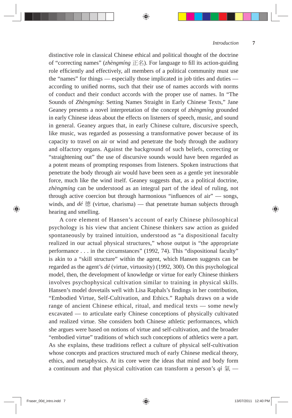distinctive role in classical Chinese ethical and political thought of the doctrine of "correcting names" (*zhèngmíng* 正名). For language to fill its action-guiding role efficiently and effectively, all members of a political community must use the "names" for things — especially those implicated in job titles and duties according to unified norms, such that their use of names accords with norms of conduct and their conduct accords with the proper use of names. In "The Sounds of *Zhèngmíng*: Setting Names Straight in Early Chinese Texts," Jane Geaney presents a novel interpretation of the concept of *zhèngmíng* grounded in early Chinese ideas about the effects on listeners of speech, music, and sound in general. Geaney argues that, in early Chinese culture, discursive speech, like music, was regarded as possessing a transformative power because of its capacity to travel on air or wind and penetrate the body through the auditory and olfactory organs. Against the background of such beliefs, correcting or "straightening out" the use of discursive sounds would have been regarded as a potent means of prompting responses from listeners. Spoken instructions that penetrate the body through air would have been seen as a gentle yet inexorable force, much like the wind itself. Geaney suggests that, as a political doctrine, *zhèngmíng* can be understood as an integral part of the ideal of ruling, not through active coercion but through harmonious "influences of air"  $-$  songs, winds, and *dé* 德 (virtue, charisma) — that penetrate human subjects through hearing and smelling.

A core element of Hansen's account of early Chinese philosophical psychology is his view that ancient Chinese thinkers saw action as guided spontaneously by trained intuition, understood as "a dispositional faculty realized in our actual physical structures," whose output is "the appropriate performance . . . in the circumstances" (1992, 74). This "dispositional faculty" is akin to a "skill structure" within the agent, which Hansen suggests can be regarded as the agent's *dé* (virtue, virtuosity) (1992, 300). On this psychological model, then, the development of knowledge or virtue for early Chinese thinkers involves psychophysical cultivation similar to training in physical skills. Hansen's model dovetails well with Lisa Raphals's findings in her contribution, "Embodied Virtue, Self-Cultivation, and Ethics." Raphals draws on a wide range of ancient Chinese ethical, ritual, and medical texts — some newly excavated — to articulate early Chinese conceptions of physically cultivated and realized virtue. She considers both Chinese athletic performances, which she argues were based on notions of virtue and self-cultivation, and the broader "embodied virtue" traditions of which such conceptions of athletics were a part. As she explains, these traditions reflect a culture of physical self-cultivation whose concepts and practices structured much of early Chinese medical theory, ethics, and metaphysics. At its core were the ideas that mind and body form a continuum and that physical cultivation can transform a person's  $q\hat{i} \nvert \vec{x}$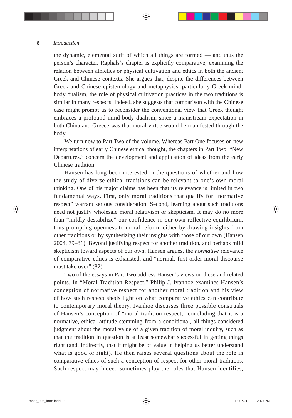the dynamic, elemental stuff of which all things are formed — and thus the person's character. Raphals's chapter is explicitly comparative, examining the relation between athletics or physical cultivation and ethics in both the ancient Greek and Chinese contexts. She argues that, despite the differences between Greek and Chinese epistemology and metaphysics, particularly Greek mindbody dualism, the role of physical cultivation practices in the two traditions is similar in many respects. Indeed, she suggests that comparison with the Chinese case might prompt us to reconsider the conventional view that Greek thought embraces a profound mind-body dualism, since a mainstream expectation in both China and Greece was that moral virtue would be manifested through the body.

We turn now to Part Two of the volume. Whereas Part One focuses on new interpretations of early Chinese ethical thought, the chapters in Part Two, "New Departures," concern the development and application of ideas from the early Chinese tradition.

Hansen has long been interested in the questions of whether and how the study of diverse ethical traditions can be relevant to one's own moral thinking. One of his major claims has been that its relevance is limited in two fundamental ways. First, only moral traditions that qualify for "normative respect" warrant serious consideration. Second, learning about such traditions need not justify wholesale moral relativism or skepticism. It may do no more than "mildly destabilize" our confidence in our own reflective equilibrium, thus prompting openness to moral reform, either by drawing insights from other traditions or by synthesizing their insights with those of our own (Hansen 2004, 79–81). Beyond justifying respect for another tradition, and perhaps mild skepticism toward aspects of our own, Hansen argues, the *normative* relevance of comparative ethics is exhausted, and "normal, first-order moral discourse must take over" (82).

Two of the essays in Part Two address Hansen's views on these and related points. In "Moral Tradition Respect," Philip J. Ivanhoe examines Hansen's conception of normative respect for another moral tradition and his view of how such respect sheds light on what comparative ethics can contribute to contemporary moral theory. Ivanhoe discusses three possible construals of Hansen's conception of "moral tradition respect," concluding that it is a normative, ethical attitude stemming from a conditional, all-things-considered judgment about the moral value of a given tradition of moral inquiry, such as that the tradition in question is at least somewhat successful in getting things right (and, indirectly, that it might be of value in helping us better understand what is good or right). He then raises several questions about the role in comparative ethics of such a conception of respect for other moral traditions. Such respect may indeed sometimes play the roles that Hansen identifies,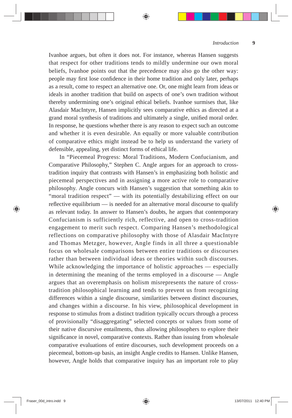Ivanhoe argues, but often it does not. For instance, whereas Hansen suggests that respect for other traditions tends to mildly undermine our own moral beliefs, Ivanhoe points out that the precedence may also go the other way: people may first lose confidence in their home tradition and only later, perhaps as a result, come to respect an alternative one. Or, one might learn from ideas or ideals in another tradition that build on aspects of one's own tradition without thereby undermining one's original ethical beliefs. Ivanhoe surmises that, like Alasdair MacIntyre, Hansen implicitly sees comparative ethics as directed at a grand moral synthesis of traditions and ultimately a single, unified moral order. In response, he questions whether there is any reason to expect such an outcome and whether it is even desirable. An equally or more valuable contribution of comparative ethics might instead be to help us understand the variety of defensible, appealing, yet distinct forms of ethical life.

In "Piecemeal Progress: Moral Traditions, Modern Confucianism, and Comparative Philosophy," Stephen C. Angle argues for an approach to crosstradition inquiry that contrasts with Hansen's in emphasizing both holistic and piecemeal perspectives and in assigning a more active role to comparative philosophy. Angle concurs with Hansen's suggestion that something akin to "moral tradition respect" — with its potentially destabilizing effect on our reflective equilibrium  $\frac{1}{10}$  is needed for an alternative moral discourse to qualify as relevant today. In answer to Hansen's doubts, he argues that contemporary Confucianism is sufficiently rich, reflective, and open to cross-tradition engagement to merit such respect. Comparing Hansen's methodological reflections on comparative philosophy with those of Alasdair MacIntyre and Thomas Metzger, however, Angle finds in all three a questionable focus on wholesale comparisons between entire traditions or discourses rather than between individual ideas or theories within such discourses. While acknowledging the importance of holistic approaches — especially in determining the meaning of the terms employed in a discourse — Angle argues that an overemphasis on holism misrepresents the nature of crosstradition philosophical learning and tends to prevent us from recognizing differences within a single discourse, similarities between distinct discourses, and changes within a discourse. In his view, philosophical development in response to stimulus from a distinct tradition typically occurs through a process of provisionally "disaggregating" selected concepts or values from some of their native discursive entailments, thus allowing philosophers to explore their significance in novel, comparative contexts. Rather than issuing from wholesale comparative evaluations of entire discourses, such development proceeds on a piecemeal, bottom-up basis, an insight Angle credits to Hansen. Unlike Hansen, however, Angle holds that comparative inquiry has an important role to play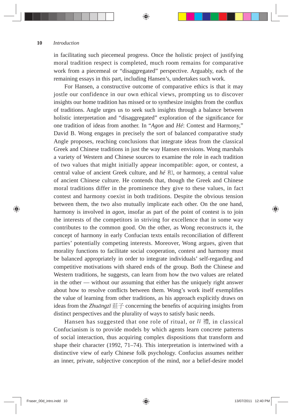in facilitating such piecemeal progress. Once the holistic project of justifying moral tradition respect is completed, much room remains for comparative work from a piecemeal or "disaggregated" perspective. Arguably, each of the remaining essays in this part, including Hansen's, undertakes such work.

For Hansen, a constructive outcome of comparative ethics is that it may jostle our confidence in our own ethical views, prompting us to discover insights our home tradition has missed or to synthesize insights from the conflux of traditions. Angle urges us to seek such insights through a balance between holistic interpretation and "disaggregated" exploration of the significance for one tradition of ideas from another. In "*Agon* and *Hé*: Contest and Harmony," David B. Wong engages in precisely the sort of balanced comparative study Angle proposes, reaching conclusions that integrate ideas from the classical Greek and Chinese traditions in just the way Hansen envisions. Wong marshals a variety of Western and Chinese sources to examine the role in each tradition of two values that might initially appear incompatible: *agon*, or contest, a central value of ancient Greek culture, and *hé* 和, or harmony, a central value of ancient Chinese culture. He contends that, though the Greek and Chinese moral traditions differ in the prominence they give to these values, in fact contest and harmony coexist in both traditions. Despite the obvious tension between them, the two also mutually implicate each other. On the one hand, harmony is involved in *agon*, insofar as part of the point of contest is to join the interests of the competitors in striving for excellence that in some way contributes to the common good. On the other, as Wong reconstructs it, the concept of harmony in early Confucian texts entails reconciliation of different parties' potentially competing interests. Moreover, Wong argues, given that morality functions to facilitate social cooperation, contest and harmony must be balanced appropriately in order to integrate individuals' self-regarding and competitive motivations with shared ends of the group. Both the Chinese and Western traditions, he suggests, can learn from how the two values are related in the other — without our assuming that either has the uniquely right answer about how to resolve conflicts between them. Wong's work itself exemplifies the value of learning from other traditions, as his approach explicitly draws on ideas from the *Zhuāngzǐ* 莊子 concerning the benefits of acquiring insights from distinct perspectives and the plurality of ways to satisfy basic needs.

Hansen has suggested that one role of ritual, or *lǐ* 禮, in classical Confucianism is to provide models by which agents learn concrete patterns of social interaction, thus acquiring complex dispositions that transform and shape their character (1992, 71–74). This interpretation is intertwined with a distinctive view of early Chinese folk psychology. Confucius assumes neither an inner, private, subjective conception of the mind, nor a belief-desire model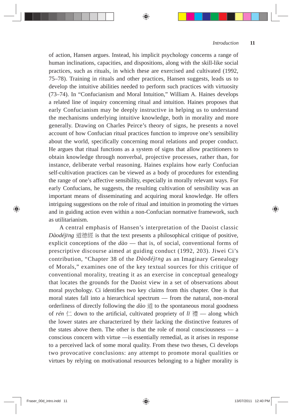of action, Hansen argues. Instead, his implicit psychology concerns a range of human inclinations, capacities, and dispositions, along with the skill-like social practices, such as rituals, in which these are exercised and cultivated (1992, 75–78). Training in rituals and other practices, Hansen suggests, leads us to develop the intuitive abilities needed to perform such practices with virtuosity (73–74). In "Confucianism and Moral Intuition," William A. Haines develops a related line of inquiry concerning ritual and intuition. Haines proposes that early Confucianism may be deeply instructive in helping us to understand the mechanisms underlying intuitive knowledge, both in morality and more generally. Drawing on Charles Peirce's theory of signs, he presents a novel account of how Confucian ritual practices function to improve one's sensibility about the world, specifically concerning moral relations and proper conduct. He argues that ritual functions as a system of signs that allow practitioners to obtain knowledge through nonverbal, projective processes, rather than, for instance, deliberate verbal reasoning. Haines explains how early Confucian self-cultivation practices can be viewed as a body of procedures for extending the range of one's affective sensibility, especially in morally relevant ways. For early Confucians, he suggests, the resulting cultivation of sensibility was an important means of disseminating and acquiring moral knowledge. He offers intriguing suggestions on the role of ritual and intuition in promoting the virtues and in guiding action even within a non-Confucian normative framework, such as utilitarianism.

A central emphasis of Hansen's interpretation of the Daoist classic *Dàodéjīng* 道德經 is that the text presents a philosophical critique of positive, explicit conceptions of the *dào* — that is, of social, conventional forms of prescriptive discourse aimed at guiding conduct (1992, 203). Jiwei Ci's contribution, "Chapter 38 of the *Dàodéjīng* as an Imaginary Genealogy of Morals," examines one of the key textual sources for this critique of conventional morality, treating it as an exercise in conceptual genealogy that locates the grounds for the Daoist view in a set of observations about moral psychology. Ci identifies two key claims from this chapter. One is that moral states fall into a hierarchical spectrum — from the natural, non-moral orderliness of directly following the *dào* 道 to the spontaneous moral goodness of *rén*  $\Box$  down to the artificial, cultivated propriety of *li* 禮 — along which the lower states are characterized by their lacking the distinctive features of the states above them. The other is that the role of moral consciousness — a conscious concern with virtue —is essentially remedial, as it arises in response to a perceived lack of some moral quality. From these two theses, Ci develops two provocative conclusions: any attempt to promote moral qualities or virtues by relying on motivational resources belonging to a higher morality is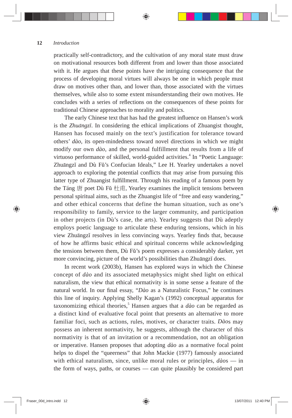practically self-contradictory, and the cultivation of any moral state must draw on motivational resources both different from and lower than those associated with it. He argues that these points have the intriguing consequence that the process of developing moral virtues will always be one in which people must draw on motives other than, and lower than, those associated with the virtues themselves, while also to some extent misunderstanding their own motives. He concludes with a series of reflections on the consequences of these points for traditional Chinese approaches to morality and politics.

The early Chinese text that has had the greatest influence on Hansen's work is the *Zhuāngzǐ*. In considering the ethical implications of Zhuangist thought, Hansen has focused mainly on the text's justification for tolerance toward others' *dào*, its open-mindedness toward novel directions in which we might modify our own *dào*, and the personal fulfillment that results from a life of virtuoso performance of skilled, world-guided activities.<sup>4</sup> In "Poetic Language: Zhuāngzǐ and Dù Fǔ's Confucian Ideals," Lee H. Yearley undertakes a novel approach to exploring the potential conflicts that may arise from pursuing this latter type of Zhuangist fulfillment. Through his reading of a famous poem by the Táng  $\ddot{\mathbb{B}}$  poet Dù Fǔ  $\dot{\mathbb{H}}$   $\ddot{\mathbb{H}}$ , Yearley examines the implicit tensions between personal spiritual aims, such as the Zhuangist life of "free and easy wandering," and other ethical concerns that define the human situation, such as one's responsibility to family, service to the larger community, and participation in other projects (in Dù's case, the arts). Yearley suggests that Dù adeptly employs poetic language to articulate these enduring tensions, which in his view Zhuāngzǐ resolves in less convincing ways. Yearley finds that, because of how he affirms basic ethical and spiritual concerns while acknowledging the tensions between them, Dù Fǔ's poem expresses a considerably darker, yet more convincing, picture of the world's possibilities than Zhuāngzǐ does.

In recent work (2003b), Hansen has explored ways in which the Chinese concept of *dào* and its associated metaphysics might shed light on ethical naturalism, the view that ethical normativity is in some sense a feature of the natural world. In our final essay, "*Dào* as a Naturalistic Focus," he continues this line of inquiry. Applying Shelly Kagan's (1992) conceptual apparatus for taxonomizing ethical theories,<sup>5</sup> Hansen argues that a *dào* can be regarded as a distinct kind of evaluative focal point that presents an alternative to more familiar foci, such as actions, rules, motives, or character traits. *Dào*s may possess an inherent normativity, he suggests, although the character of this normativity is that of an invitation or a recommendation, not an obligation or imperative. Hansen proposes that adopting *dào* as a normative focal point helps to dispel the "queerness" that John Mackie (1977) famously associated with ethical naturalism, since, unlike moral rules or principles, *dào*s — in the form of ways, paths, or courses — can quite plausibly be considered part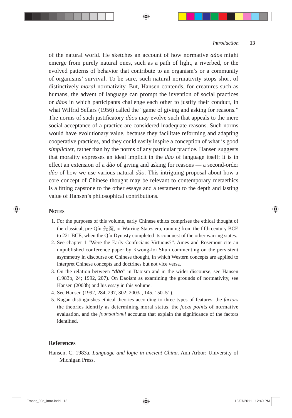of the natural world. He sketches an account of how normative *dào*s might emerge from purely natural ones, such as a path of light, a riverbed, or the evolved patterns of behavior that contribute to an organism's or a community of organisms' survival. To be sure, such natural normativity stops short of distinctively *moral* normativity. But, Hansen contends, for creatures such as humans, the advent of language can prompt the invention of social practices or *dào*s in which participants challenge each other to justify their conduct, in what Wilfrid Sellars (1956) called the "game of giving and asking for reasons." The norms of such justificatory *dàos* may evolve such that appeals to the mere social acceptance of a practice are considered inadequate reasons. Such norms would have evolutionary value, because they facilitate reforming and adapting cooperative practices, and they could easily inspire a conception of what is good *simpliciter*, rather than by the norms of any particular practice. Hansen suggests that morality expresses an ideal implicit in the *dào* of language itself: it is in effect an extension of a *dào* of giving and asking for reasons — a second-order *dào* of how we use various natural *dào*. This intriguing proposal about how a core concept of Chinese thought may be relevant to contemporary metaethics is a fitting capstone to the other essays and a testament to the depth and lasting value of Hansen's philosophical contributions.

#### **NOTES**

- 1. For the purposes of this volume, early Chinese ethics comprises the ethical thought of the classical, pre-Qín 先秦, or Warring States era, running from the fifth century BCE to 221 BCE, when the Qín Dynasty completed its conquest of the other warring states.
- 2. See chapter 1 "Were the Early Confucians Virtuous?". Ames and Rosemont cite an unpublished conference paper by Kwong-loi Shun commenting on the persistent asymmetry in discourse on Chinese thought, in which Western concepts are applied to interpret Chinese concepts and doctrines but not vice versa.
- 3. On the relation between "*dào*" in Daoism and in the wider discourse, see Hansen (1983b, 24; 1992, 207). On Daoism as examining the grounds of normativity, see Hansen (2003b) and his essay in this volume.
- 4. See Hansen (1992, 284, 297, 302; 2003a, 145, 150–51).
- 5. Kagan distinguishes ethical theories according to three types of features: the *factors*  the theories identify as determining moral status, the *focal points* of normative evaluation, and the *foundational* accounts that explain the significance of the factors identified.

#### **References**

Hansen, C. 1983a. *Language and logic in ancient China*. Ann Arbor: University of Michigan Press.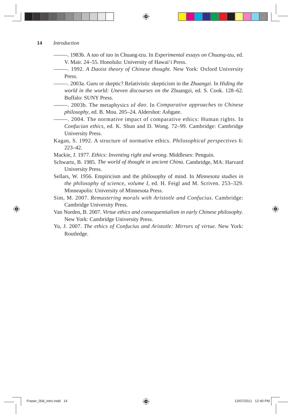- ———. 1983b. A *tao* of *tao* in Chuang-tzu. In *Experimental essays on Chuang-tzu*, ed. V. Mair. 24–55. Honolulu: University of Hawai'i Press.
- ———. 1992. *A Daoist theory of Chinese thought*. New York: Oxford University Press.
- ———. 2003a. Guru or skeptic? Relativistic skepticism in the *Zhuangzi*. In *Hiding the world in the world: Uneven discourses on the* Zhuangzi, ed. S. Cook. 128–62. Buffalo: SUNY Press.
- ———. 2003b. The metaphysics of *dao*. In *Comparative approaches to Chinese philosophy*, ed. B. Mou. 205–24. Aldershot: Ashgate.
- ———. 2004. The normative impact of comparative ethics: Human rights. In *Confucian ethics*, ed. K. Shun and D. Wong. 72–99. Cambridge: Cambridge University Press.
- Kagan, S. 1992. A structure of normative ethics. *Philosophical perspectives* 6: 223–42.
- Mackie, J. 1977. *Ethics: Inventing right and wrong*. Middlesex: Penguin.
- Schwartz, B. 1985. *The world of thought in ancient China*. Cambridge, MA: Harvard University Press.
- Sellars, W. 1956. Empiricism and the philosophy of mind. In *Minnesota studies in the philosophy of science, volume I*, ed. H. Feigl and M. Scriven. 253–329. Minneapolis: University of Minnesota Press.
- Sim, M. 2007. *Remastering morals with Aristotle and Confucius*. Cambridge: Cambridge University Press.
- Van Norden, B. 2007. *Virtue ethics and consequentialism in early Chinese philosophy*. New York: Cambridge University Press.
- Yu, J. 2007. *The ethics of Confucius and Aristotle: Mirrors of virtue*. New York: Routledge.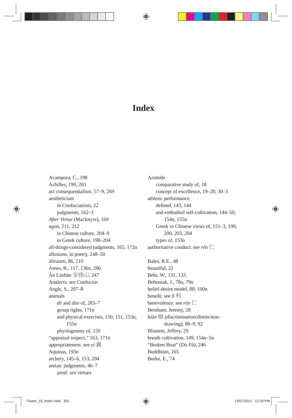### **Index**

Acampora, C., 198 Achilles, 199, 203 act consequentialism, 57–9, 269 aestheticism in Confucianism, 22 judgments, 162–3 *After Virtue* (MacIntyre), 169 *agon*, 211, 212 in Chinese culture, 204–9 in Greek culture, 198–204 all-things-considered judgments, 165, 172n allusions, in poetry, 248–50 altruism, 86, 210 Ames, R., 117, 136n, 206 Ān Lùshān 安祿山, 247 Analects. *see* Confucius Angle, S., 207–8 animals *dé* and *dào* of, 283–7 group rights, 171n and physical exercises, 150, 151, 153n, 155n physiognomy of, 150 "appraisal respect," 163, 171n appropriateness. see *yì* 義 Aquinas, 193n archery, 145–6, 153, 204 aretaic judgments, 46–7 *aretê. see* virtues

Aristotle comparative study of, 18 concept of excellence, 19–20, 30–3 athletic performance defined, 143, 144 and embodied self-cultivation, 144–50, 154n, 155n Greek *vs* Chinese views of, 151–3, 199, 200, 203, 204 types of, 153n authoritative conduct. see *rén* 仁

Bales, R.E., 48 beautiful, 22 Behr, W., 131, 133 Behuniak, J., 78n, 79n belief-desire model, 88, 100n benefit. see *lì* 利 benevolence. see *rén* 仁 Bentham, Jeremy, 28 *biàn* 辯 (discrimination/distinction drawing), 88–9, 92 Blustein, Jeffrey, 29 breath cultivation, 149, 154n–5n "Broken Boat" (Dù Fǔ), 246 Buddhism, 165 Burke, E., 74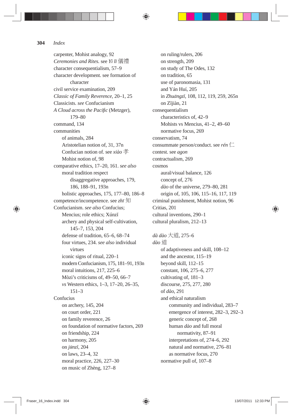carpenter, Mohist analogy, 92 *Ceremonies and Rites.* see *Yì lǐ* 儀禮 character consequentialism, 57–9 character development. see formation of character civil service examination, 209 *Classic of Family Reverence,* 20–1, 25 Classicists. *see* Confucianism *A Cloud across the Pacifi c* (Metzger), 179–80 command, 134 communities of animals, 284 Aristotelian notion of, 31, 37n Confucian notion of. see *xiào* 孝 Mohist notion of, 98 comparative ethics, 17–20, 161. *see also* moral tradition respect disaggregative approaches, 179, 186, 188–91, 193n holistic approaches, 175, 177–80, 186–8 competence/incompetence. see *zhī* 知 Confucianism. *see also* Confucius; Mencius; role ethics; Xúnzǐ archery and physical self-cultivation, 145–7, 153, 204 defense of tradition, 65–6, 68–74 four virtues, 234. *see also* individual virtues iconic signs of ritual, 220–1 modern Confucianism, 175, 181–91, 193n moral intuitions, 217, 225–6 Mòzi's criticisms of, 49–50, 66–7 *vs* Western ethics, 1–3, 17–20, 26–35, 151–3 Confucius on archery, 145, 204 on court order, 221 on family reverence, 26 on foundation of normative factors, 269 on friendship, 224 on harmony, 205 on *jūnzǐ*, 204 on laws, 23–4, 32 moral practice, 226, 227–30 on music of Zhèng, 127–8

 on ruling/rulers, 206 on strength, 209 on study of The Odes, 132 on tradition, 65 use of paronomasia, 131 and Yán Huí, 205 in *Zhuāngzǐ*, 108, 112, 119, 259, 265n on Zǐjiàn, 21 consequentialism characteristics of, 42–9 Mohists vs Mencius, 41–2, 49–60 normative focus, 269 conservatism, 74 consummate person/conduct. see *rén* 仁 contest. see *agon* contractualism, 269 cosmos aural/visual balance, 126 concept of, 276 *dào* of the universe, 279–80, 281 origin of, 105, 106, 115–16, 117, 119 criminal punishment, Mohist notion, 96 Critias, 201 cultural inventions, 290–1 cultural pluralism, 212–13

*dà dào* 大道, 275–6 *dào* 道 of adaptiveness and skill, 108–12 and the ancestor, 115–19 beyond skill, 112–15 constant, 106, 275–6, 277 cultivating of, 181–3 discourse, 275, 277, 280 of *dào*, 291 and ethical naturalism community and individual, 283–7 emergence of interest, 282–3, 292–3 generic concept of, 268 human *dào* and full moral normativity, 87–91 interpretations of, 274–6, 292 natural and normative, 276–81 as normative focus, 270 normative pull of, 107–8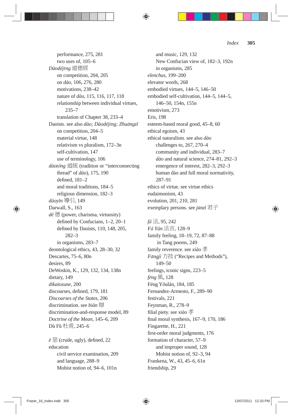performance, 275, 281 two uses of, 105–6 *Dàodéjīng* 道德經 on competition, 204, 205 on *dào*, 106, 276, 280 motivations, 238–42 nature of *dào*, 115, 116, 117, 118 relationship between individual virtues, 235–7 translation of Chapter 38, 233–4 Daoists. see also *dào; Dàodéjīng; Zhuāngzǐ* on competition, 204–5 material virtue, 148 relativism vs pluralism, 172–3n self-cultivation, 147 use of terminology, 106 *dàotǒng* 道統 (tradition or "interconnecting thread" of *dào*), 175, 190 defined,  $181-2$  and moral traditions, 184–5 religious dimension, 182–3 *dǎoyǐn* 導引, 149 Darwall, S., 163 *dé* 德 (power, charisma, virtuosity) defined by Confucians, 1-2, 20-1 defined by Daoists, 110, 148, 205, 282–3 in organisms, 283–7 deontological ethics, 43, 28–30, 32 Descartes, 75–6, 80n desires, 89 DeWoskin, K., 129, 132, 134, 138n dietary, 149 *dikaiosune*, 200 discourses, defined, 179, 181 *Discourses of the States*, 206 discrimination. see *biàn* 辯 discrimination-and-response model, 89 *Doctrine of the Mean*, 145–6, 209 Dù Fǔ 杜甫, 245–6

 $\grave{e}$   $\overline{\mathbb{E}}$  (crude, ugly), defined, 22 education civil service examination, 209 and language, 288–9 Mohist notion of, 94–6, 101n

 and music, 129, 132 New Confucian view of, 182–3, 192n in organisms, 285 *elenchus*, 199–200 elevator words, 268 embodied virtues, 144–5, 146–50 embodied self-cultivation, 144–5, 144–5, 146–50, 154n, 155n emotivism, 273 Eris, 198 esteem-based moral good, 45–8, 60 ethical egoism, 43 ethical naturalism. see also *dào* challenges to, 267, 270–4 community and individual, 283–7 *dào* and natural science, 274–81, 292–3 emergence of interest, 282–3, 292–3 human dào and full moral normativity, 287–91 ethics of virtue. see virtue ethics eudaimonism, 43 evolution, 201, 210, 281 exemplary persons. see *jūnzǐ* 君子

*fǎ* 法, 95, 242 *Fǎ Yán* 法言, 128–9 family feeling, 18–19, 72, 87–88 in Tang poems, 249 family reverence. see *xiào* 孝 *Fāngjì* 方技 ("Recipes and Methods"), 149–50 feelings, iconic signs, 223–5 *fēng* 風, 128 Féng Yǒulán, 184, 185 Fernandez-Armesto, F., 289–90 festivals, 221 Feynman, R., 278–9 fi lial piety. see *xiào* 孝 final moral synthesis, 167–9, 170, 186 Fingarette, H., 221 first-order moral judgments, 176 formation of character, 57–9 and improper sound, 128 Mohist notion of, 92–3, 94 Frankena, W., 43, 45–6, 61n friendship, 29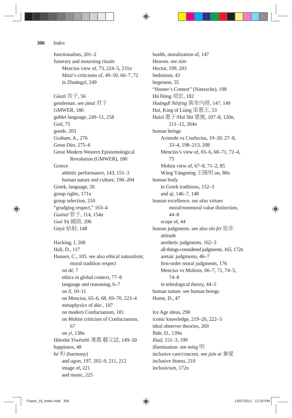functionalists, 201–2 funerary and mourning rituals Mencius view of, 73, 224–5, 231n Mòzi's criticisms of, 49–50, 66–7, 72 in Zhuāngzǐ, 249 Gàozǐ 告子, 56 gentleman. see *jūnzǐ* 君子 GMWER, 180 goblet language, 249–51, 258 God, 75 goods, 203 Graham, A., 276 Great *Dào*, 275–6 Great Modern Western Epistemological Revolution (GMWER), 180 **Greece**  athletic performance, 143, 151–3 human nature and culture, 198–204 Greek, language, 26 group rights, 171n group selection, 210 "grudging respect," 163-4 *Guǎnzǐ* 管子, 114, 154n *Guó Yǔ* 國語, 206 Gūyè 姑射, 148 Hacking, I, 268 Hall, D., 117 Hansen, C., 105. see also ethical naturalism; moral tradition respect on *dé*, 7 ethics in global context, 77–8 language and reasoning, 6–7 on *lǐ*, 10–11 on Mencius, 65–6, 68, 69–70, 223–4 metaphysics of *dào* , 107 on modern Confucianism, 181 on Mohist criticism of Confucianism, 67 on *yì*, 138n *Hànshū Yìwénzhì* 漢書.藝文誌, 149–50 happiness, 48 *hé* 和 (harmony) and *agon*, 197, 202–9, 211, 212 image of, 221 and music, 225

**306** *Index*

health, moralization of, 147 Heaven. see *tiān* Hector, 199, 203 hedonism, 43 hegemon, 55 "Homer's Contest" (Nietzsche), 198 Hú Hóng 胡宏, 182 *Huángdì Nèijīng* 黃帝內經, 147, 149 Huì, King of Liáng 梁惠王, 53 Huìzǐ 惠子/Huì Shī 惠施, 107–8, 120n, 211–12, 264n human beings Aristotle vs Confucius, 19–20, 27–8, 33–4, 198–213, 208 Mencius's view of, 65–6, 68–71, 72–4, 75 Mohist view of, 67–8, 71–2, 85 Wáng Yángmíng 王陽明 on, 80n human body in Greek traditions, 152–3 and *qì*, 146–7, 148 human excellence. *see also* virtues moral/nonmoral value distinction, 44–8 scope of, 44 human judgments. see also *shì-fēi* 是非 attitude aesthetic judgments, 162–3 all-things-considered judgments, 165, 172n aretaic judgments, 46–7 first-order moral judgments, 176 Mencius vs Mohists, 66–7, 71, 74–5, 74–8 in teleological theory, 44–5 human nature. see human beings Hume, D., 47 Ice Age ideas, 290

iconic knowledge, 219–20, 222–3 ideal observer theories, 269 Ihde, D., 139n *Iliad*, 151–3, 199 illumination. see *míng* 明 inclusive care/concern. see *jiān aì* 兼愛 inclusive fitness, 210 inclusivism, 172n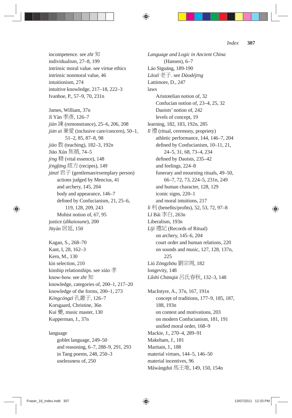incompetence. see *zhī* 知 individualism, 27–8, 199 intrinsic moral value. see virtue ethics intrinsic nonmoral value, 46 intuitionism, 274 intuitive knowledge, 217–18, 222–3 Ivanhoe, P., 57–9, 70, 231n

James, William, 37n Jì Yàn 季彥, 126–7 *jiàn* 諫 (remonstrance), 25–6, 206, 208 *jiān aì* 兼愛 (inclusive care/concern), 50–1, 51–2, 85, 87–8, 98 *jiào* 教 (teaching), 182–3, 192n Jiāo Xún 焦循, 74–5  $j\bar{i}$ *ng* 精 (vital essence), 148 *jīngfāng* 經方 (recipes), 149 *jūnzǐ* 君子 (gentleman/exemplary person) actions judged by Mencius, 41 and archery, 145, 204 body and appearance, 146–7 defined by Confucianism, 21, 25-6, 119, 128, 209, 243 Mohist notion of, 67, 95 justice (*dikaiosune*), 200 Jūyán 居延, 150

Kagan, S., 268–70 Kant, I, 28, 162–3 Kern, M., 130 kin selection, 210 kinship relationships. see *xiào* 孝 know-how. see *zhī* 知 knowledge, categories of, 200–1, 217–20 knowledge of the forms, 200–1, 273 *Kǒngcóngzǐ* 孔叢子, 126–7 Korsgaard, Christine, 36n Kuí 夔, music master, 130 Kupperman, J., 37n

language goblet language, 249–50 and reasoning, 6–7, 288–9, 291, 293 in Tang poems, 248, 250–3 uselessness of, 250

*Language and Logic in Ancient China* (Hansen), 6–7 Láo Sīguāng, 189-190 *Lăozĭ* 老子. see *Dàodéjīng* Lattimore, D., 247 laws Aristotelian notion of, 32 Confucian notion of, 23–4, 25, 32 Daoists' notion of, 242 levels of concept, 19 learning, 182, 183, 192n, 285 *lĭ* 禮 (ritual, ceremony, propriety) athletic performance, 144, 146–7, 204 defined by Confucianism, 10–11, 21, 24–5, 31, 68, 73–4, 234 defined by Daoists, 235-42 and feelings, 224–8 funerary and mourning rituals, 49–50, 66–7, 72, 73, 224–5, 231n, 249 and human character, 128, 129 iconic signs, 220–1 and moral intuitions, 217 *lì*  $\overline{A}$ <sup>[</sup>] (benefits/profits), 52, 53, 72, 97–8 Lǐ Bái 李白, 263n Liberalism, 193n *Lǐjì* 禮記 (Records of Ritual) on archery, 145–6, 204 court order and human relations, 220 on sounds and music, 127, 128, 137n, 225 Liú Zōngzhōu 劉宗周, 182 longevity, 148 *Lǚshì Chūnqiū* 呂氏春秋, 132–3, 148

MacIntyre, A., 37n, 167, 191n concept of traditions, 177–9, 185, 187, 188, 193n on contest and motivations, 203 on modern Confucianism, 181, 191 unified moral order, 168-9 Mackie, J., 270–4, 289–91 Makeham, J., 181 Maritain, J., 188 material virtues, 144–5, 146–50 material incentives, 96 Mǎwángduī 馬王堆, 149, 150, 154n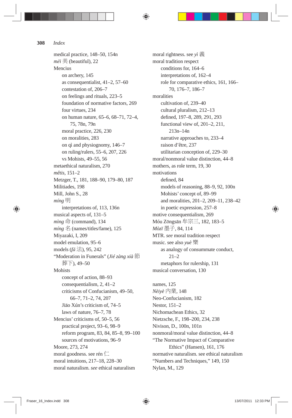medical practice, 148–50, 154n *měi* 美 (beautiful), 22 Mencius on archery, 145 as consequentialist, 41–2, 57–60 contestation of, 206–7 on feelings and rituals, 223–5 foundation of normative factors, 269 four virtues, 234 on human nature, 65–6, 68–71, 72–4, 75, 78n, 79n moral practice, 226, 230 on moralities, 283 on qì and physiognomy, 146–7 on ruling/rulers, 55–6, 207, 226 vs Mohists, 49–55, 56 metaethical naturalism, 270 *mêtis*, 151–2 Metzger, T., 181, 188–90, 179–80, 187 Militiades, 198 Mill, John S., 28 *míng* 明 interpretations of, 113, 136n musical aspects of, 131–5 *mìng*  $\hat{m}$  (command), 134 *míng* 名 (names/titles/fame), 125 Miyazaki, I, 209 model emulation, 95–6 models (*fǎ* 法), 95, 242 "Moderation in Funerals" (*Jié zàng xià* 節 葬下), 49–50 Mohists concept of action, 88–93 consequentialism, 2, 41–2 criticisms of Confucianism, 49–50, 66–7, 71–2, 74, 207 Jiāo Xún's criticism of, 74–5 laws of nature, 76–7, 78 Mencius' criticisms of, 50–5, 56 practical project, 93–6, 98–9 reform program, 83, 84, 85–8, 99–100 sources of motivations, 96–9 Moore, 273, 274 moral goodness. see rén  $\square$ moral intuitions, 217–18, 228–30 moral naturalism. *see* ethical naturalism

moral rightness. see *yì* 義 moral tradition respect conditions for, 164–6 interpretations of, 162–4 role for comparative ethics, 161, 166– 70, 176–7, 186–7 moralities cultivation of, 239–40 cultural pluralism, 212–13 defined, 197-8, 289, 291, 293 functional view of, 201–2, 211, 213n–14n narrative approaches to, 233–4 raison d'être, 237 utilitarian conception of, 229–30 moral/nonmoral value distinction, 44–8 mothers, as role term, 19, 30 motivations defined, 84 models of reasoning, 88–9, 92, 100n Mohists' concept of, 89–99 and moralities, 201–2, 209–11, 238–42 in poetic expression, 257–8 motive consequentialism, 269 Móu Zōngsān 牟宗三, 182, 183–5 *Mòzĭ* 墨子, 84, 114 MTR. *see* moral tradition respect music. see also *yuè* 樂 as analogy of consummate conduct, 21–2 metaphors for rulership, 131 musical conversation, 130

names, 125 *Nèiyè* 內業, 148 Neo-Confucianism, 182 Nestor, 151–2 Nichomachean Ethics, 32 Nietzsche, F., 198–200, 234, 238 Nivison, D., 100n, 101n nonmoral/moral value distinction, 44–8 "The Normative Impact of Comparative Ethics" (Hansen), 161, 176 normative naturalism. see ethical naturalism "Numbers and Techniques," 149, 150 Nylan, M., 129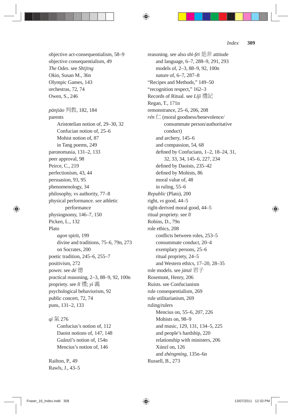objective act-consequentialism, 58–9 objective consequentialism, 49 *The Odes*. see *Shījīng* Okin, Susan M., 36n Olympic Games, 143 orchestras, 72, 74 Owen, S., 246 *pànjiào* 判教, 182, 184 parents Aristotelian notion of, 29–30, 32 Confucian notion of, 25–6 Mohist notion of, 87 in Tang poems, 249 paronomasia, 131–2, 133 peer approval, 98 Peirce, C., 219 perfectionism, 43, 44 persuasion, 93, 95 phenomenology, 34 philosophy, vs authority, 77–8 physical performance. *see* athletic performance physiognomy, 146–7, 150 Picken, L., 132 Plato *agon* spirit, 199 divine and traditions, 75–6, 79n, 273 on Socrates, 200 poetic tradition, 245–6, 255–7 positivism, 272 power. see *dé* 德 practical reasoning, 2–3, 88–9, 92, 100n propriety. see *lǐ* 禮; *yì* 義 psychological behaviorism, 92 public concert, 72, 74 puns, 131–2, 133

*qì* 氣 276 Confucius's notion of, 112 Daoist notions of, 147, 148 Guǎnzĭ's notion of, 154n Mencius's notion of, 146

Railton, P., 49 Rawls, J., 43–5 reasoning. see also *shì-fēi* 是非 attitude and language, 6–7, 288–9, 291, 293 models of, 2–3, 88–9, 92, 100n nature of, 6–7, 287–8 "Recipes and Methods," 149–50 "recognition respect," 162–3 Records of Ritual. see *Lǐjì* 禮記 Regan, T., 171n remonstrance, 25–6, 206, 208  $rén \left\lfloor \frac{m}{m} \right\rfloor$  (moral goodness/benevolence/ consummate person/authoritative conduct) and archery, 145–6 and compassion, 54, 68 defined by Confucians,  $1-2$ ,  $18-24$ ,  $31$ , 32, 33, 34, 145–6, 227, 234 defined by Daoists, 235-42 defined by Mohists, 86 moral value of, 48 in ruling, 55–6 *Republic* (Plato), 200 right, *vs* good, 44–5 right-derived moral good, 44–5 ritual propriety. see *lĭ* Robins, D., 79n role ethics, 208 conflicts between roles, 253-5 consummate conduct, 20–4 exemplary persons, 25–6 ritual propriety, 24–5 and Western ethics, 17–20, 28–35 role models. see *jūnzǐ* 君子 Rosemont, Henry, 206 Ruists. see Confucianism rule consequentialism, 269 rule utilitarianism, 269 ruling/rulers Mencius on, 55–6, 207, 226 Mohists on, 98–9 and music, 129, 131, 134–5, 225 and people's hardship, 220 relationship with ministers, 206 Xúnzǐ on, 126 and *zhèngmíng*, 135n–6n Russell, B., 273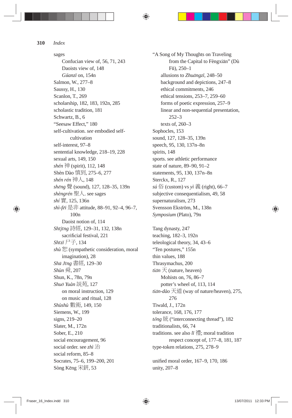sages Confucian view of, 56, 71, 243 Daoists view of, 148 *Gǔanzǐ* on, 154n Salmon, W., 277–8 Saussy, H., 130 Scanlon, T., 269 scholarship, 182, 183, 192n, 285 scholastic tradition, 181 Schwartz, B., 6 "Seesaw Effect," 180 self-cultivation. *see* embodied self cultivation self-interest, 97–8 sentential knowledge, 218–19, 228 sexual arts, 149, 150 *shén* 神 (spirit), 112, 148 Shèn Dào 慎到, 275–6, 277 *shén rén* 神人, 148 *shēng* 聲 (sound), 127, 128–35, 139n *shèngrén* 聖人. see sages *shí* 實, 125, 136n *shì-fēi* 是非 attitude, 88–91, 92–4, 96–7, 100n Daoist notion of, 114 *Shījīng* 詩經, 129–31, 132, 138n sacrificial festival, 221 *Shīzǐ* 尸子, 134 shù 恕 (sympathetic consideration, moral imagination), 28 *Shū Jīng* 書經, 129–30 *Shùn* 舜, 207 Shun, K., 78n, 79n *Shuō Yuàn* 說苑, 127 on moral instruction, 129 on music and ritual, 128 *Shùshù* 數術, 149, 150 Siemens, W., 199 signs, 219–20 Slater, M., 172n Sober, E., 210 social encouragement, 96 social order. see *zhì* 治 social reform, 85–8 Socrates, 75–6, 199–200, 201 Sòng Kēng 宋鈃, 53

"A Song of My Thoughts on Traveling from the Capital to Fèngxiān" (Dù Fŭ), 250–1 allusions to *Zhuāngzǐ*, 248–50 background and depictions, 247–8 ethical commitments, 246 ethical tensions, 253–7, 259–60 forms of poetic expression, 257–9 linear and non-sequential presentation, 252–3 texts of, 260–3 Sophocles, 153 sound, 127, 128–35, 139n speech, 95, 130, 137n–8n spirits, 148 sports. see athletic performance state of nature, 89–90, 91–2 statements, 95, 130, 137n–8n Sterckx, R., 127 *sú* 俗 (custom) vs *yì* 義 (right), 66–7 subjective consequentialism, 49, 58 supernaturalism, 273 Svensson Ekström, M., 138n *Symposium* (Plato), 79n

Tang dynasty, 247 teaching, 182–3, 192n teleological theory, 34, 43–6 "Ten postures," 155n thin values, 188 Thrasymachus, 200  $t$ *iān*  $\overline{\mathcal{F}}$  (nature, heaven) Mohists on, 76, 86–7 potter's wheel of, 113, 114 *tiān-dào* 天道 (way of nature/heaven), 275, 276 Tiwald, J., 172n tolerance, 168, 176, 177 *tǒng* 統 ("interconnecting thread"), 182 traditionalists, 66, 74 traditions. see also *lǐ* 禮; moral tradition respect concept of, 177–8, 181, 187 type-token relations, 275, 278–9

unified moral order, 167-9, 170, 186 unity, 207–8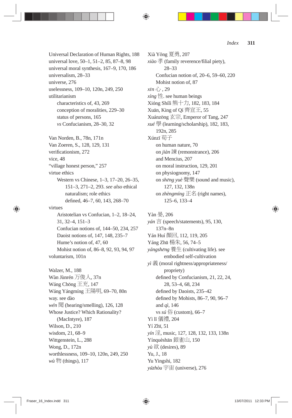Universal Declaration of Human Rights, 188 universal love, 50–1, 51–2, 85, 87–8, 98 universal moral synthesis, 167–9, 170, 186 universalism, 28–33 universe, 276 uselessness, 109–10, 120n, 249, 250 utilitarianism characteristics of, 43, 269 conception of moralities, 229–30 status of persons, 165 *vs* Confucianism, 28–30, 32 Van Norden, B., 78n, 171n Van Zoeren, S., 128, 129, 131 verificationism, 272 vice, 48 "village honest person," 257 virtue ethics Western vs Chinese, 1–3, 17–20, 26–35, 151–3, 271–2, 293. *see also* ethical naturalism; role ethics defined, 46-7, 60, 143, 268-70 virtues Aristotelian vs Confucian, 1–2, 18–24, 31, 32–4, 151–3 Confucian notions of, 144–50, 234, 257 Daoist notions of, 147, 148, 235–7 Hume's notion of, 47, 60 Mohist notion of, 86–8, 92, 93, 94, 97 voluntarism, 101n

Walzer, M., 188 Wàn Jùnrén 万俊人, 37n Wáng Chōng 王充, 147 Wáng Yángmíng 王陽明, 69–70, 80n way. see dào *wén* 聞 (hearing/smelling), 126, 128 Whose Justice? Which Rationality? (MacIntyre), 187 Wilson, D., 210 wisdom, 21, 68–9 Wittgenstein, L., 288 Wong, D., 172n worthlessness, 109–10, 120n, 249, 250 *wù* 物 (things), 117

Xià Yŏng 夏勇, 207  $xiao \not\equiv$  (family reverence/filial piety), 28–33 Confucian notion of, 20–6, 59–60, 220 Mohist notion of, 87 *xīn* 心 , 29 *xìng* 性. see human beings Xióng Shílì 熊十力, 182, 183, 184 Xuān, King of Qí 齊宣王, 55 Xuánzōng 玄宗, Emperor of Tang, 247 *xué* 學 (learning/scholarship), 182, 183, 192n, 285 Xúnzĭ 荀子 on human nature, 70 on *jiàn* 諫 (remonstrance), 206 and Mencius, 207 on moral instruction, 129, 201 on physiognomy, 147 on *shēng yuè* 聲樂 (sound and music), 127, 132, 138n on *zhèngmíng* 正名 (right names), 125–6, 133–4

Yàn 晏, 206 *yán* 言 (speech/statements), 95, 130, 137n–8n Yán Huí 顏回, 112, 119, 205 Yáng Zhū 楊朱, 56, 74–5 *yǎngshēng* 養生 (cultivating life). see embodied self-cultivation *yì* 義 (moral rightness/appropriateness/ propriety) defined by Confucianism, 21, 22, 24, 28, 53–4, 68, 234 defined by Daoists, 235-42 defined by Mohists, 86-7, 90, 96-7 and *qì*, 146 vs *sú* 俗 (custom), 66–7 Yì lǐ 儀禮, 204 Yí Zhī, 51 *yín* 淫, music, 127, 128, 132, 133, 138n Yínquèshān 銀雀山, 150  $y\hat{u} \overset{\text{def}}{\sim}$  (desires), 89 Yu, J., 18 Yu Yingshi, 182 *yǔzhòu* 宇宙 (universe), 276